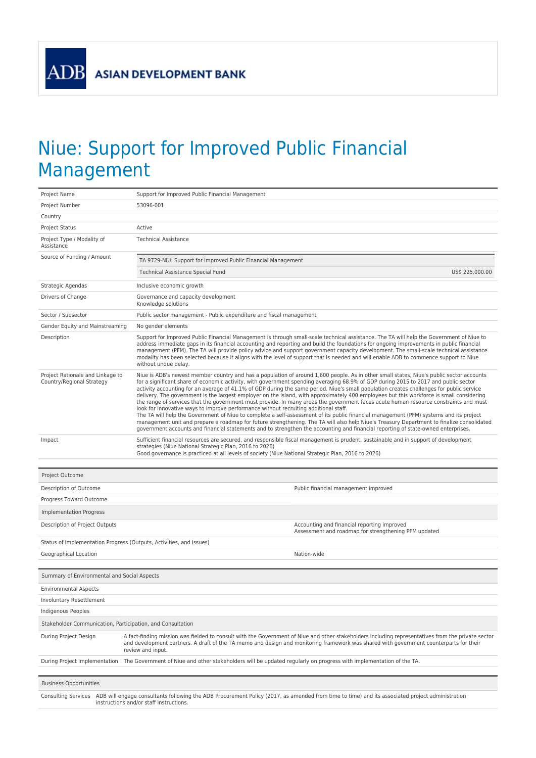**ASIAN DEVELOPMENT BANK** 

ADB

## Niue: Support for Improved Public Financial Management

| Project Name                                                  | Support for Improved Public Financial Management                                                                                                                                                                                                                                                                                                                                                                                                                                                                                                                                                                                                                                                                                                                                                                                                                                                                                                                                                                                                                                                                                                                                                                                    |  |  |  |  |  |
|---------------------------------------------------------------|-------------------------------------------------------------------------------------------------------------------------------------------------------------------------------------------------------------------------------------------------------------------------------------------------------------------------------------------------------------------------------------------------------------------------------------------------------------------------------------------------------------------------------------------------------------------------------------------------------------------------------------------------------------------------------------------------------------------------------------------------------------------------------------------------------------------------------------------------------------------------------------------------------------------------------------------------------------------------------------------------------------------------------------------------------------------------------------------------------------------------------------------------------------------------------------------------------------------------------------|--|--|--|--|--|
| Project Number                                                | 53096-001                                                                                                                                                                                                                                                                                                                                                                                                                                                                                                                                                                                                                                                                                                                                                                                                                                                                                                                                                                                                                                                                                                                                                                                                                           |  |  |  |  |  |
| Country                                                       |                                                                                                                                                                                                                                                                                                                                                                                                                                                                                                                                                                                                                                                                                                                                                                                                                                                                                                                                                                                                                                                                                                                                                                                                                                     |  |  |  |  |  |
| <b>Project Status</b>                                         | Active                                                                                                                                                                                                                                                                                                                                                                                                                                                                                                                                                                                                                                                                                                                                                                                                                                                                                                                                                                                                                                                                                                                                                                                                                              |  |  |  |  |  |
| Project Type / Modality of<br>Assistance                      | <b>Technical Assistance</b>                                                                                                                                                                                                                                                                                                                                                                                                                                                                                                                                                                                                                                                                                                                                                                                                                                                                                                                                                                                                                                                                                                                                                                                                         |  |  |  |  |  |
| Source of Funding / Amount                                    | TA 9729-NIU: Support for Improved Public Financial Management                                                                                                                                                                                                                                                                                                                                                                                                                                                                                                                                                                                                                                                                                                                                                                                                                                                                                                                                                                                                                                                                                                                                                                       |  |  |  |  |  |
|                                                               | Technical Assistance Special Fund<br>US\$ 225,000.00                                                                                                                                                                                                                                                                                                                                                                                                                                                                                                                                                                                                                                                                                                                                                                                                                                                                                                                                                                                                                                                                                                                                                                                |  |  |  |  |  |
| Strategic Agendas                                             | Inclusive economic growth                                                                                                                                                                                                                                                                                                                                                                                                                                                                                                                                                                                                                                                                                                                                                                                                                                                                                                                                                                                                                                                                                                                                                                                                           |  |  |  |  |  |
| Drivers of Change                                             | Governance and capacity development<br>Knowledge solutions                                                                                                                                                                                                                                                                                                                                                                                                                                                                                                                                                                                                                                                                                                                                                                                                                                                                                                                                                                                                                                                                                                                                                                          |  |  |  |  |  |
| Sector / Subsector                                            | Public sector management - Public expenditure and fiscal management                                                                                                                                                                                                                                                                                                                                                                                                                                                                                                                                                                                                                                                                                                                                                                                                                                                                                                                                                                                                                                                                                                                                                                 |  |  |  |  |  |
| Gender Equity and Mainstreaming                               | No gender elements                                                                                                                                                                                                                                                                                                                                                                                                                                                                                                                                                                                                                                                                                                                                                                                                                                                                                                                                                                                                                                                                                                                                                                                                                  |  |  |  |  |  |
| Description                                                   | Support for Improved Public Financial Management is through small-scale technical assistance. The TA will help the Government of Niue to<br>address immediate gaps in its financial accounting and reporting and build the foundations for ongoing improvements in public financial<br>management (PFM). The TA will provide policy advice and support government capacity development. The small-scale technical assistance<br>modality has been selected because it aligns with the level of support that is needed and will enable ADB to commence support to Niue<br>without undue delay.                                                                                                                                                                                                                                                                                                                                                                                                                                                                                                                                                                                                                                       |  |  |  |  |  |
| Project Rationale and Linkage to<br>Country/Regional Strategy | Niue is ADB's newest member country and has a population of around 1,600 people. As in other small states, Niue's public sector accounts<br>for a significant share of economic activity, with government spending averaging 68.9% of GDP during 2015 to 2017 and public sector<br>activity accounting for an average of 41.1% of GDP during the same period. Niue's small population creates challenges for public service<br>delivery. The government is the largest employer on the island, with approximately 400 employees but this workforce is small considering<br>the range of services that the government must provide. In many areas the government faces acute human resource constraints and must<br>look for innovative ways to improve performance without recruiting additional staff.<br>The TA will help the Government of Niue to complete a self-assessment of its public financial management (PFM) systems and its project<br>management unit and prepare a roadmap for future strengthening. The TA will also help Niue's Treasury Department to finalize consolidated<br>government accounts and financial statements and to strengthen the accounting and financial reporting of state-owned enterprises. |  |  |  |  |  |
| Impact                                                        | Sufficient financial resources are secured, and responsible fiscal management is prudent, sustainable and in support of development<br>strategies (Niue National Strategic Plan, 2016 to 2026)<br>Good governance is practiced at all levels of society (Niue National Strategic Plan, 2016 to 2026)                                                                                                                                                                                                                                                                                                                                                                                                                                                                                                                                                                                                                                                                                                                                                                                                                                                                                                                                |  |  |  |  |  |
|                                                               |                                                                                                                                                                                                                                                                                                                                                                                                                                                                                                                                                                                                                                                                                                                                                                                                                                                                                                                                                                                                                                                                                                                                                                                                                                     |  |  |  |  |  |
| Project Outcome                                               |                                                                                                                                                                                                                                                                                                                                                                                                                                                                                                                                                                                                                                                                                                                                                                                                                                                                                                                                                                                                                                                                                                                                                                                                                                     |  |  |  |  |  |
| Description of Outcome                                        | Public financial management improved                                                                                                                                                                                                                                                                                                                                                                                                                                                                                                                                                                                                                                                                                                                                                                                                                                                                                                                                                                                                                                                                                                                                                                                                |  |  |  |  |  |
| Progress Toward Outcome                                       |                                                                                                                                                                                                                                                                                                                                                                                                                                                                                                                                                                                                                                                                                                                                                                                                                                                                                                                                                                                                                                                                                                                                                                                                                                     |  |  |  |  |  |
| <b>Implementation Progress</b>                                |                                                                                                                                                                                                                                                                                                                                                                                                                                                                                                                                                                                                                                                                                                                                                                                                                                                                                                                                                                                                                                                                                                                                                                                                                                     |  |  |  |  |  |
| Description of Project Outputs                                | Accounting and financial reporting improved<br>Assessment and roadmap for strengthening PFM updated                                                                                                                                                                                                                                                                                                                                                                                                                                                                                                                                                                                                                                                                                                                                                                                                                                                                                                                                                                                                                                                                                                                                 |  |  |  |  |  |
|                                                               | Status of Implementation Progress (Outputs, Activities, and Issues)                                                                                                                                                                                                                                                                                                                                                                                                                                                                                                                                                                                                                                                                                                                                                                                                                                                                                                                                                                                                                                                                                                                                                                 |  |  |  |  |  |
| Geographical Location                                         | Nation-wide                                                                                                                                                                                                                                                                                                                                                                                                                                                                                                                                                                                                                                                                                                                                                                                                                                                                                                                                                                                                                                                                                                                                                                                                                         |  |  |  |  |  |
| Summary of Environmental and Social Aspects                   |                                                                                                                                                                                                                                                                                                                                                                                                                                                                                                                                                                                                                                                                                                                                                                                                                                                                                                                                                                                                                                                                                                                                                                                                                                     |  |  |  |  |  |
| <b>Environmental Aspects</b>                                  |                                                                                                                                                                                                                                                                                                                                                                                                                                                                                                                                                                                                                                                                                                                                                                                                                                                                                                                                                                                                                                                                                                                                                                                                                                     |  |  |  |  |  |
| Involuntary Resettlement                                      |                                                                                                                                                                                                                                                                                                                                                                                                                                                                                                                                                                                                                                                                                                                                                                                                                                                                                                                                                                                                                                                                                                                                                                                                                                     |  |  |  |  |  |
| Indigenous Peoples                                            |                                                                                                                                                                                                                                                                                                                                                                                                                                                                                                                                                                                                                                                                                                                                                                                                                                                                                                                                                                                                                                                                                                                                                                                                                                     |  |  |  |  |  |
| Stakeholder Communication, Participation, and Consultation    |                                                                                                                                                                                                                                                                                                                                                                                                                                                                                                                                                                                                                                                                                                                                                                                                                                                                                                                                                                                                                                                                                                                                                                                                                                     |  |  |  |  |  |
| During Project Design                                         | A fact-finding mission was fielded to consult with the Government of Niue and other stakeholders including representatives from the private sector<br>and development partners. A draft of the TA memo and design and monitoring framework was shared with government counterparts for their<br>review and input.                                                                                                                                                                                                                                                                                                                                                                                                                                                                                                                                                                                                                                                                                                                                                                                                                                                                                                                   |  |  |  |  |  |
| During Project Implementation                                 | The Government of Niue and other stakeholders will be updated regularly on progress with implementation of the TA.                                                                                                                                                                                                                                                                                                                                                                                                                                                                                                                                                                                                                                                                                                                                                                                                                                                                                                                                                                                                                                                                                                                  |  |  |  |  |  |
| <b>Business Opportunities</b>                                 |                                                                                                                                                                                                                                                                                                                                                                                                                                                                                                                                                                                                                                                                                                                                                                                                                                                                                                                                                                                                                                                                                                                                                                                                                                     |  |  |  |  |  |
| <b>Consulting Services</b>                                    | ADB will engage consultants following the ADB Procurement Policy (2017, as amended from time to time) and its associated project administration<br>instructions and/or staff instructions.                                                                                                                                                                                                                                                                                                                                                                                                                                                                                                                                                                                                                                                                                                                                                                                                                                                                                                                                                                                                                                          |  |  |  |  |  |